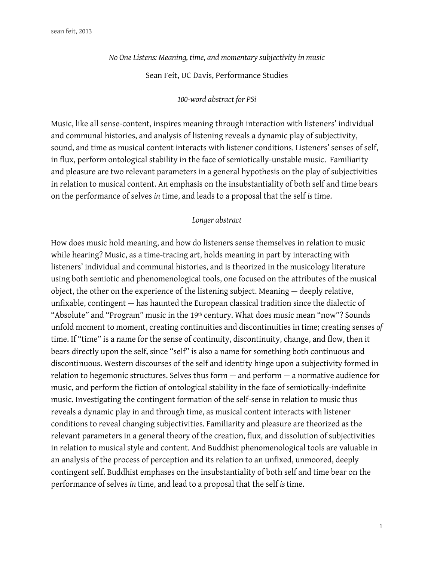*No One Listens: Meaning, time, and momentary subjectivity in music*

Sean Feit, UC Davis, Performance Studies

# *100-word abstract for PSi*

Music, like all sense-content, inspires meaning through interaction with listeners' individual and communal histories, and analysis of listening reveals a dynamic play of subjectivity, sound, and time as musical content interacts with listener conditions. Listeners' senses of self, in fux, perform ontological stability in the face of semiotically-unstable music. Familiarity and pleasure are two relevant parameters in a general hypothesis on the play of subjectivities in relation to musical content. An emphasis on the insubstantiality of both self and time bears on the performance of selves *in* time, and leads to a proposal that the self *is* time.

## *Longer abstract*

How does music hold meaning, and how do listeners sense themselves in relation to music while hearing? Music, as a time-tracing art, holds meaning in part by interacting with listeners' individual and communal histories, and is theorized in the musicology literature using both semiotic and phenomenological tools, one focused on the attributes of the musical object, the other on the experience of the listening subject. Meaning — deeply relative, unfxable, contingent — has haunted the European classical tradition since the dialectic of "Absolute" and "Program" music in the 19th century. What does music mean "now"? Sounds unfold moment to moment, creating continuities and discontinuities in time; creating senses *of* time. If "time" is a name for the sense of continuity, discontinuity, change, and flow, then it bears directly upon the self, since "self" is also a name for something both continuous and discontinuous. Western discourses of the self and identity hinge upon a subjectivity formed in relation to hegemonic structures. Selves thus form — and perform — a normative audience for music, and perform the fiction of ontological stability in the face of semiotically-indefinite music. Investigating the contingent formation of the self-sense in relation to music thus reveals a dynamic play in and through time, as musical content interacts with listener conditions to reveal changing subjectivities. Familiarity and pleasure are theorized as the relevant parameters in a general theory of the creation, fux, and dissolution of subjectivities in relation to musical style and content. And Buddhist phenomenological tools are valuable in an analysis of the process of perception and its relation to an unfixed, unmoored, deeply contingent self. Buddhist emphases on the insubstantiality of both self and time bear on the performance of selves *in* time, and lead to a proposal that the self *is* time.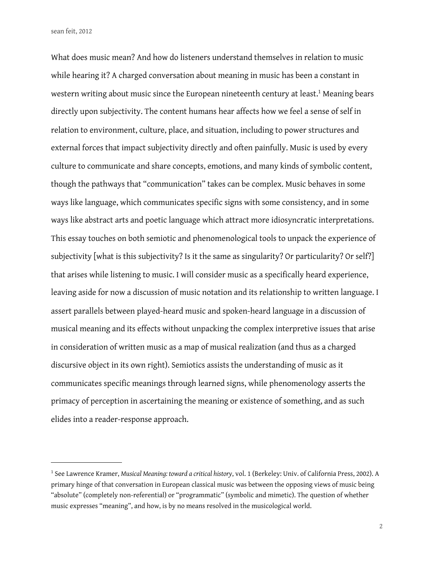What does music mean? And how do listeners understand themselves in relation to music while hearing it? A charged conversation about meaning in music has been a constant in western writing about music since the European nineteenth century at least.<sup>1</sup> Meaning bears directly upon subjectivity. The content humans hear afects how we feel a sense of self in relation to environment, culture, place, and situation, including to power structures and external forces that impact subjectivity directly and often painfully. Music is used by every culture to communicate and share concepts, emotions, and many kinds of symbolic content, though the pathways that "communication" takes can be complex. Music behaves in some ways like language, which communicates specific signs with some consistency, and in some ways like abstract arts and poetic language which attract more idiosyncratic interpretations. This essay touches on both semiotic and phenomenological tools to unpack the experience of subjectivity [what is this subjectivity? Is it the same as singularity? Or particularity? Or self?] that arises while listening to music. I will consider music as a specifcally heard experience, leaving aside for now a discussion of music notation and its relationship to written language. I assert parallels between played-heard music and spoken-heard language in a discussion of musical meaning and its efects without unpacking the complex interpretive issues that arise in consideration of written music as a map of musical realization (and thus as a charged discursive object in its own right). Semiotics assists the understanding of music as it communicates specifc meanings through learned signs, while phenomenology asserts the primacy of perception in ascertaining the meaning or existence of something, and as such elides into a reader-response approach.

<span id="page-1-0"></span><sup>1</sup> See Lawrence Kramer, *Musical Meaning: toward a critical history*, vol. 1 (Berkeley: Univ. of California Press, 2002). A primary hinge of that conversation in European classical music was between the opposing views of music being "absolute" (completely non-referential) or "programmatic" (symbolic and mimetic). The question of whether music expresses "meaning", and how, is by no means resolved in the musicological world.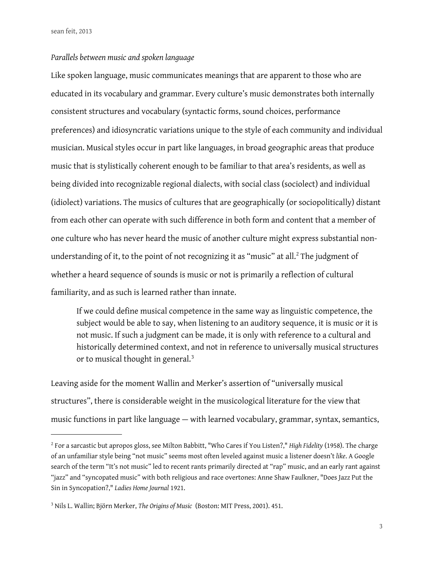#### *Parallels between music and spoken language*

Like spoken language, music communicates meanings that are apparent to those who are educated in its vocabulary and grammar. Every culture's music demonstrates both internally consistent structures and vocabulary (syntactic forms, sound choices, performance preferences) and idiosyncratic variations unique to the style of each community and individual musician. Musical styles occur in part like languages, in broad geographic areas that produce music that is stylistically coherent enough to be familiar to that area's residents, as well as being divided into recognizable regional dialects, with social class (sociolect) and individual (idiolect) variations. The musics of cultures that are geographically (or sociopolitically) distant from each other can operate with such diference in both form and content that a member of one culture who has never heard the music of another culture might express substantial nonunderstanding of it, to the point of not recognizing it as "music" at all. $2$  The judgment of whether a heard sequence of sounds is music or not is primarily a reflection of cultural familiarity, and as such is learned rather than innate.

If we could defne musical competence in the same way as linguistic competence, the subject would be able to say, when listening to an auditory sequence, it is music or it is not music. If such a judgment can be made, it is only with reference to a cultural and historically determined context, and not in reference to universally musical structures or to musical thought in general.<sup>[3](#page-2-1)</sup>

Leaving aside for the moment Wallin and Merker's assertion of "universally musical structures", there is considerable weight in the musicological literature for the view that music functions in part like language — with learned vocabulary, grammar, syntax, semantics,

<span id="page-2-0"></span><sup>2</sup> For a sarcastic but apropos gloss, see Milton Babbitt, "Who Cares if You Listen?," *High Fidelity* (1958). The charge of an unfamiliar style being "not music" seems most often leveled against music a listener doesn't *like*. A Google search of the term "It's not music" led to recent rants primarily directed at "rap" music, and an early rant against "jazz" and "syncopated music" with both religious and race overtones: Anne Shaw Faulkner, "Does Jazz Put the Sin in Syncopation?," *Ladies Home Journal* 1921.

<span id="page-2-1"></span><sup>3</sup> Nils L. Wallin; Björn Merker, *The Origins of Music* (Boston: MIT Press, 2001). 451.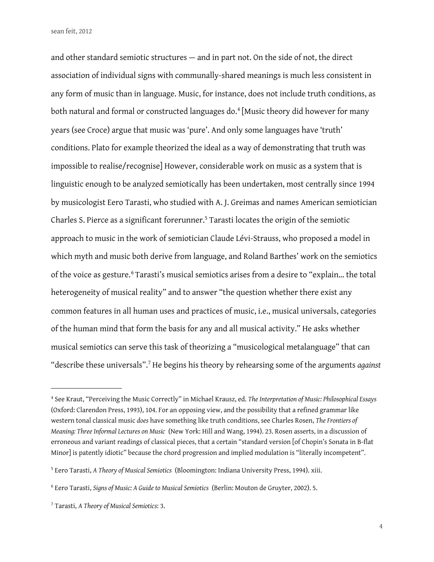and other standard semiotic structures — and in part not. On the side of not, the direct association of individual signs with communally-shared meanings is much less consistent in any form of music than in language. Music, for instance, does not include truth conditions, as both natural and formal or constructed languages do.<sup>[4](#page-3-0)</sup> [Music theory did however for many years (see Croce) argue that music was 'pure'. And only some languages have 'truth' conditions. Plato for example theorized the ideal as a way of demonstrating that truth was impossible to realise/recognise] However, considerable work on music as a system that is linguistic enough to be analyzed semiotically has been undertaken, most centrally since 1994 by musicologist Eero Tarasti, who studied with A. J. Greimas and names American semiotician Charles S. Pierce as a significant forerunner.<sup>[5](#page-3-1)</sup> Tarasti locates the origin of the semiotic approach to music in the work of semiotician Claude Lévi-Strauss, who proposed a model in which myth and music both derive from language, and Roland Barthes' work on the semiotics of the voice as gesture.<sup>[6](#page-3-2)</sup> Tarasti's musical semiotics arises from a desire to "explain... the total heterogeneity of musical reality" and to answer "the question whether there exist any common features in all human uses and practices of music, i.e., musical universals, categories of the human mind that form the basis for any and all musical activity." He asks whether musical semiotics can serve this task of theorizing a "musicological metalanguage" that can "describe these universals".[7](#page-3-3) He begins his theory by rehearsing some of the arguments *against*

<span id="page-3-0"></span><sup>4</sup> See Kraut, "Perceiving the Music Correctly" in Michael Krausz, ed. *The Interpretation of Music: Philosophical Essays* (Oxford: Clarendon Press, 1993), 104. For an opposing view, and the possibility that a refned grammar like western tonal classical music *does* have something like truth conditions, see Charles Rosen, *The Frontiers of Meaning: Three Informal Lectures on Music* (New York: Hill and Wang, 1994). 23. Rosen asserts, in a discussion of erroneous and variant readings of classical pieces, that a certain "standard version [of Chopin's Sonata in B-fat Minor] is patently idiotic" because the chord progression and implied modulation is "literally incompetent".

<span id="page-3-1"></span><sup>5</sup> Eero Tarasti, *A Theory of Musical Semiotics* (Bloomington: Indiana University Press, 1994). xiii.

<span id="page-3-2"></span><sup>6</sup> Eero Tarasti, *Signs of Music: A Guide to Musical Semiotics* (Berlin: Mouton de Gruyter, 2002). 5.

<span id="page-3-3"></span><sup>7</sup> Tarasti, *A Theory of Musical Semiotics*: 3.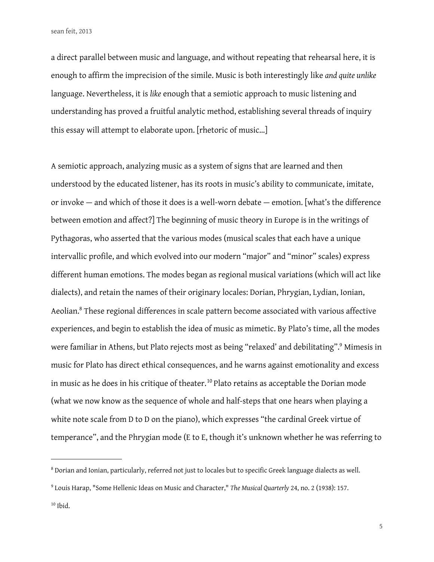a direct parallel between music and language, and without repeating that rehearsal here, it is enough to affirm the imprecision of the simile. Music is both interestingly like and quite unlike language. Nevertheless, it is *like* enough that a semiotic approach to music listening and understanding has proved a fruitful analytic method, establishing several threads of inquiry this essay will attempt to elaborate upon. [rhetoric of music…]

A semiotic approach, analyzing music as a system of signs that are learned and then understood by the educated listener, has its roots in music's ability to communicate, imitate, or invoke — and which of those it does is a well-worn debate — emotion. [what's the diference between emotion and afect?] The beginning of music theory in Europe is in the writings of Pythagoras, who asserted that the various modes (musical scales that each have a unique intervallic profile, and which evolved into our modern "major" and "minor" scales) express diferent human emotions. The modes began as regional musical variations (which will act like dialects), and retain the names of their originary locales: Dorian, Phrygian, Lydian, Ionian, Aeolian.<sup>8</sup> These regional differences in scale pattern become associated with various affective experiences, and begin to establish the idea of music as mimetic. By Plato's time, all the modes were familiar in Athens, but Plato rejects most as being "relaxed' and debilitating".<sup>9</sup> Mimesis in music for Plato has direct ethical consequences, and he warns against emotionality and excess in music as he does in his critique of theater.<sup>10</sup> Plato retains as acceptable the Dorian mode (what we now know as the sequence of whole and half-steps that one hears when playing a white note scale from D to D on the piano), which expresses "the cardinal Greek virtue of temperance", and the Phrygian mode (E to E, though it's unknown whether he was referring to

<span id="page-4-0"></span> $^8$  Dorian and Ionian, particularly, referred not just to locales but to specific Greek language dialects as well.

<span id="page-4-1"></span><sup>9</sup> Louis Harap, "Some Hellenic Ideas on Music and Character," *The Musical Quarterly* 24, no. 2 (1938): 157.

<span id="page-4-2"></span><sup>10</sup> Ibid.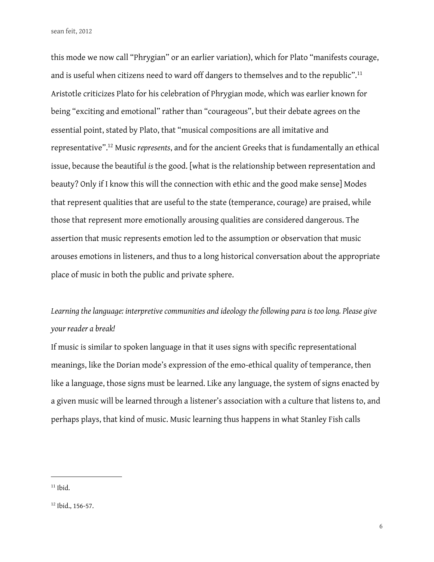this mode we now call "Phrygian" or an earlier variation), which for Plato "manifests courage, and is useful when citizens need to ward off dangers to themselves and to the republic".<sup>[11](#page-5-0)</sup> Aristotle criticizes Plato for his celebration of Phrygian mode, which was earlier known for being "exciting and emotional" rather than "courageous", but their debate agrees on the essential point, stated by Plato, that "musical compositions are all imitative and representative"[.12](#page-5-1) Music *represents*, and for the ancient Greeks that is fundamentally an ethical issue, because the beautiful *is* the good. [what is the relationship between representation and beauty? Only if I know this will the connection with ethic and the good make sense] Modes that represent qualities that are useful to the state (temperance, courage) are praised, while those that represent more emotionally arousing qualities are considered dangerous. The assertion that music represents emotion led to the assumption or observation that music arouses emotions in listeners, and thus to a long historical conversation about the appropriate place of music in both the public and private sphere.

# *Learning the language: interpretive communities and ideology the following para is too long. Please give your reader a break!*

If music is similar to spoken language in that it uses signs with specific representational meanings, like the Dorian mode's expression of the emo-ethical quality of temperance, then like a language, those signs must be learned. Like any language, the system of signs enacted by a given music will be learned through a listener's association with a culture that listens to, and perhaps plays, that kind of music. Music learning thus happens in what Stanley Fish calls

<span id="page-5-0"></span> $11$  Ibid.

<span id="page-5-1"></span><sup>12</sup> Ibid., 156-57.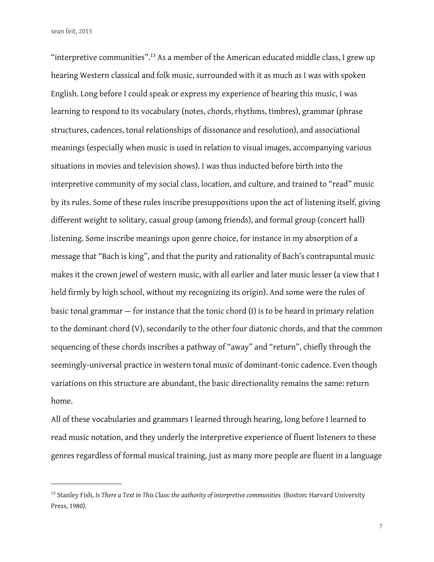"interpretive communities".[13](#page-6-0) As a member of the American educated middle class, I grew up hearing Western classical and folk music, surrounded with it as much as I was with spoken English. Long before I could speak or express my experience of hearing this music, I was learning to respond to its vocabulary (notes, chords, rhythms, timbres), grammar (phrase structures, cadences, tonal relationships of dissonance and resolution), and associational meanings (especially when music is used in relation to visual images, accompanying various situations in movies and television shows). I was thus inducted before birth into the interpretive community of my social class, location, and culture, and trained to "read" music by its rules. Some of these rules inscribe presuppositions upon the act of listening itself, giving diferent weight to solitary, casual group (among friends), and formal group (concert hall) listening. Some inscribe meanings upon genre choice, for instance in my absorption of a message that "Bach is king", and that the purity and rationality of Bach's contrapuntal music makes it the crown jewel of western music, with all earlier and later music lesser (a view that I held firmly by high school, without my recognizing its origin). And some were the rules of basic tonal grammar — for instance that the tonic chord (I) is to be heard in primary relation to the dominant chord (V), secondarily to the other four diatonic chords, and that the common sequencing of these chords inscribes a pathway of "away" and "return", chiefy through the seemingly-universal practice in western tonal music of dominant-tonic cadence. Even though variations on this structure are abundant, the basic directionality remains the same: return home.

All of these vocabularies and grammars I learned through hearing, long before I learned to read music notation, and they underly the interpretive experience of fuent listeners to these genres regardless of formal musical training, just as many more people are fuent in a language

<span id="page-6-0"></span><sup>13</sup> Stanley Fish, *Is There a Text in This Class: the authority of interpretive communities* (Boston: Harvard University Press, 1980).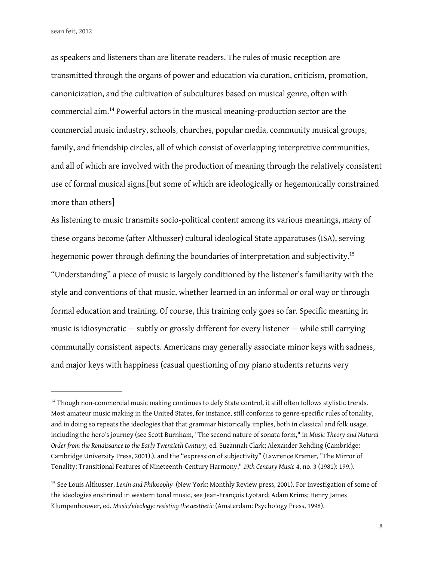as speakers and listeners than are literate readers. The rules of music reception are transmitted through the organs of power and education via curation, criticism, promotion, canonicization, and the cultivation of subcultures based on musical genre, often with commercial aim.[14](#page-7-0) Powerful actors in the musical meaning-production sector are the commercial music industry, schools, churches, popular media, community musical groups, family, and friendship circles, all of which consist of overlapping interpretive communities, and all of which are involved with the production of meaning through the relatively consistent use of formal musical signs.[but some of which are ideologically or hegemonically constrained more than others]

As listening to music transmits socio-political content among its various meanings, many of these organs become (after Althusser) cultural ideological State apparatuses (ISA), serving hegemonic power through defining the boundaries of interpretation and subjectivity.<sup>15</sup> "Understanding" a piece of music is largely conditioned by the listener's familiarity with the style and conventions of that music, whether learned in an informal or oral way or through formal education and training. Of course, this training only goes so far. Specific meaning in music is idiosyncratic — subtly or grossly diferent for every listener — while still carrying communally consistent aspects. Americans may generally associate minor keys with sadness, and major keys with happiness (casual questioning of my piano students returns very

<span id="page-7-0"></span><sup>&</sup>lt;sup>14</sup> Though non-commercial music making continues to defy State control, it still often follows stylistic trends. Most amateur music making in the United States, for instance, still conforms to genre-specifc rules of tonality, and in doing so repeats the ideologies that that grammar historically implies, both in classical and folk usage, including the hero's journey (see Scott Burnham, "The second nature of sonata form," in *Music Theory and Natural Order from the Renaissance to the Early Twentieth Century*, ed. Suzannah Clark; Alexander Rehding (Cambridge: Cambridge University Press, 2001).), and the "expression of subjectivity" (Lawrence Kramer, "The Mirror of Tonality: Transitional Features of Nineteenth-Century Harmony," *19th Century Music* 4, no. 3 (1981): 199.).

<span id="page-7-1"></span><sup>15</sup> See Louis Althusser, *Lenin and Philosophy* (New York: Monthly Review press, 2001). For investigation of some of the ideologies enshrined in western tonal music, see Jean-François Lyotard; Adam Krims; Henry James Klumpenhouwer, ed. *Music/ideology: resisting the aesthetic* (Amsterdam: Psychology Press, 1998).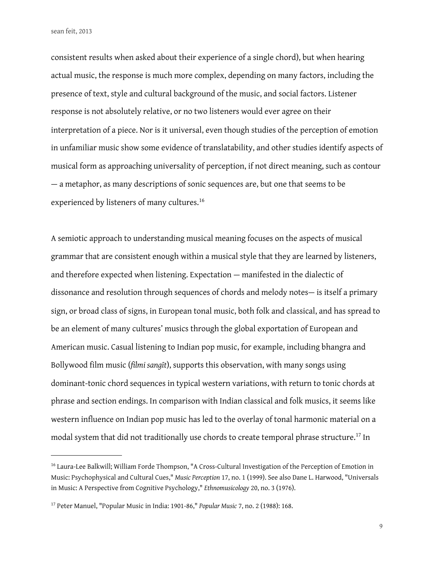consistent results when asked about their experience of a single chord), but when hearing actual music, the response is much more complex, depending on many factors, including the presence of text, style and cultural background of the music, and social factors. Listener response is not absolutely relative, or no two listeners would ever agree on their interpretation of a piece. Nor is it universal, even though studies of the perception of emotion in unfamiliar music show some evidence of translatability, and other studies identify aspects of musical form as approaching universality of perception, if not direct meaning, such as contour — a metaphor, as many descriptions of sonic sequences are, but one that seems to be experienced by listeners of many cultures.<sup>[16](#page-8-0)</sup>

A semiotic approach to understanding musical meaning focuses on the aspects of musical grammar that are consistent enough within a musical style that they are learned by listeners, and therefore expected when listening. Expectation — manifested in the dialectic of dissonance and resolution through sequences of chords and melody notes— is itself a primary sign, or broad class of signs, in European tonal music, both folk and classical, and has spread to be an element of many cultures' musics through the global exportation of European and American music. Casual listening to Indian pop music, for example, including bhangra and Bollywood flm music (*flmi sangīt*), supports this observation, with many songs using dominant-tonic chord sequences in typical western variations, with return to tonic chords at phrase and section endings. In comparison with Indian classical and folk musics, it seems like western infuence on Indian pop music has led to the overlay of tonal harmonic material on a modal system that did not traditionally use chords to create temporal phrase structure.[17](#page-8-1) In

<span id="page-8-0"></span><sup>&</sup>lt;sup>16</sup> Laura-Lee Balkwill; William Forde Thompson, "A Cross-Cultural Investigation of the Perception of Emotion in Music: Psychophysical and Cultural Cues," *Music Perception* 17, no. 1 (1999). See also Dane L. Harwood, "Universals in Music: A Perspective from Cognitive Psychology," *Ethnomusicology* 20, no. 3 (1976).

<span id="page-8-1"></span><sup>17</sup> Peter Manuel, "Popular Music in India: 1901-86," *Popular Music* 7, no. 2 (1988): 168.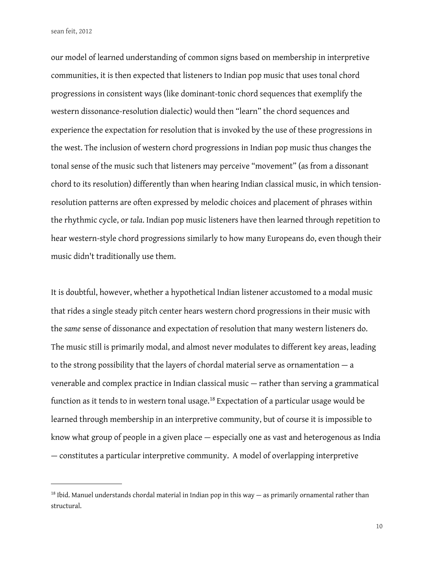our model of learned understanding of common signs based on membership in interpretive communities, it is then expected that listeners to Indian pop music that uses tonal chord progressions in consistent ways (like dominant-tonic chord sequences that exemplify the western dissonance-resolution dialectic) would then "learn" the chord sequences and experience the expectation for resolution that is invoked by the use of these progressions in the west. The inclusion of western chord progressions in Indian pop music thus changes the tonal sense of the music such that listeners may perceive "movement" (as from a dissonant chord to its resolution) diferently than when hearing Indian classical music, in which tensionresolution patterns are often expressed by melodic choices and placement of phrases within the rhythmic cycle, or *tala*. Indian pop music listeners have then learned through repetition to hear western-style chord progressions similarly to how many Europeans do, even though their music didn't traditionally use them.

It is doubtful, however, whether a hypothetical Indian listener accustomed to a modal music that rides a single steady pitch center hears western chord progressions in their music with the *same* sense of dissonance and expectation of resolution that many western listeners do. The music still is primarily modal, and almost never modulates to diferent key areas, leading to the strong possibility that the layers of chordal material serve as ornamentation — a venerable and complex practice in Indian classical music — rather than serving a grammatical function as it tends to in western tonal usage.<sup>[18](#page-9-0)</sup> Expectation of a particular usage would be learned through membership in an interpretive community, but of course it is impossible to know what group of people in a given place — especially one as vast and heterogenous as India — constitutes a particular interpretive community. A model of overlapping interpretive

<span id="page-9-0"></span> $18$  Ibid. Manuel understands chordal material in Indian pop in this way  $-$  as primarily ornamental rather than structural.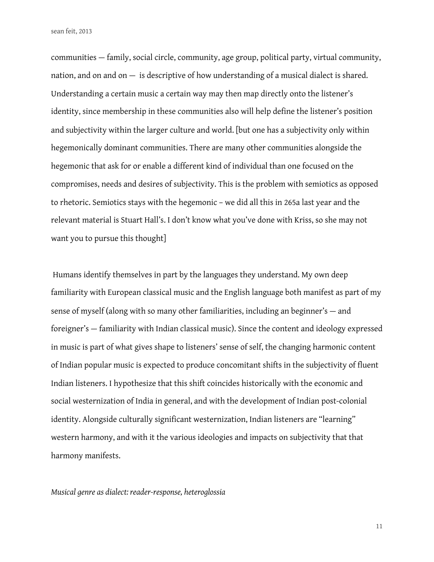communities — family, social circle, community, age group, political party, virtual community, nation, and on and on — is descriptive of how understanding of a musical dialect is shared. Understanding a certain music a certain way may then map directly onto the listener's identity, since membership in these communities also will help define the listener's position and subjectivity within the larger culture and world. [but one has a subjectivity only within hegemonically dominant communities. There are many other communities alongside the hegemonic that ask for or enable a diferent kind of individual than one focused on the compromises, needs and desires of subjectivity. This is the problem with semiotics as opposed to rhetoric. Semiotics stays with the hegemonic – we did all this in 265a last year and the relevant material is Stuart Hall's. I don't know what you've done with Kriss, so she may not want you to pursue this thought]

 Humans identify themselves in part by the languages they understand. My own deep familiarity with European classical music and the English language both manifest as part of my sense of myself (along with so many other familiarities, including an beginner's — and foreigner's — familiarity with Indian classical music). Since the content and ideology expressed in music is part of what gives shape to listeners' sense of self, the changing harmonic content of Indian popular music is expected to produce concomitant shifts in the subjectivity of fuent Indian listeners. I hypothesize that this shift coincides historically with the economic and social westernization of India in general, and with the development of Indian post-colonial identity. Alongside culturally significant westernization, Indian listeners are "learning" western harmony, and with it the various ideologies and impacts on subjectivity that that harmony manifests.

*Musical genre as dialect: reader-response, heteroglossia*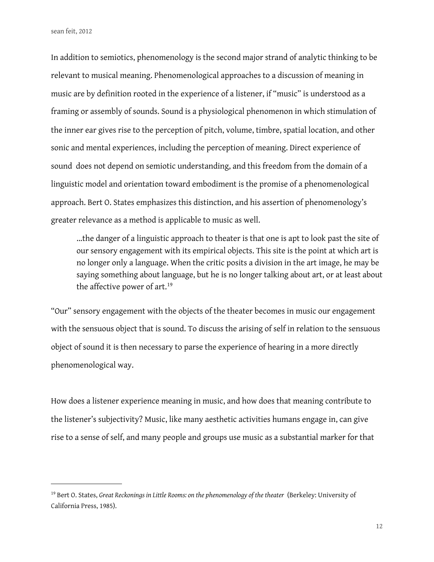In addition to semiotics, phenomenology is the second major strand of analytic thinking to be relevant to musical meaning. Phenomenological approaches to a discussion of meaning in music are by definition rooted in the experience of a listener, if "music" is understood as a framing or assembly of sounds. Sound is a physiological phenomenon in which stimulation of the inner ear gives rise to the perception of pitch, volume, timbre, spatial location, and other sonic and mental experiences, including the perception of meaning. Direct experience of sound does not depend on semiotic understanding, and this freedom from the domain of a linguistic model and orientation toward embodiment is the promise of a phenomenological approach. Bert O. States emphasizes this distinction, and his assertion of phenomenology's greater relevance as a method is applicable to music as well.

...the danger of a linguistic approach to theater is that one is apt to look past the site of our sensory engagement with its empirical objects. This site is the point at which art is no longer only a language. When the critic posits a division in the art image, he may be saying something about language, but he is no longer talking about art, or at least about the affective power of art.<sup>[19](#page-11-0)</sup>

"Our" sensory engagement with the objects of the theater becomes in music our engagement with the sensuous object that is sound. To discuss the arising of self in relation to the sensuous object of sound it is then necessary to parse the experience of hearing in a more directly phenomenological way.

How does a listener experience meaning in music, and how does that meaning contribute to the listener's subjectivity? Music, like many aesthetic activities humans engage in, can give rise to a sense of self, and many people and groups use music as a substantial marker for that

<span id="page-11-0"></span><sup>19</sup> Bert O. States, *Great Reckonings in Little Rooms: on the phenomenology of the theater* (Berkeley: University of California Press, 1985).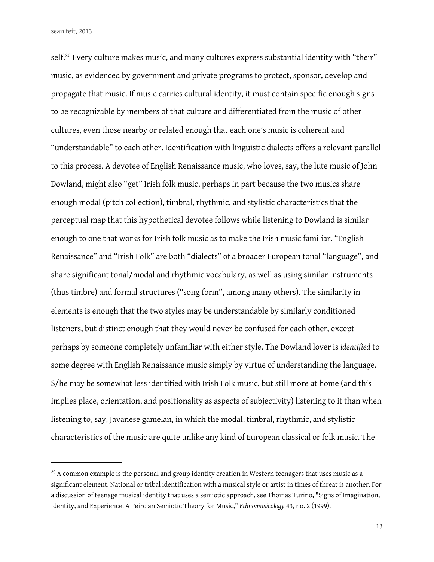self.<sup>[20](#page-12-0)</sup> Every culture makes music, and many cultures express substantial identity with "their" music, as evidenced by government and private programs to protect, sponsor, develop and propagate that music. If music carries cultural identity, it must contain specific enough signs to be recognizable by members of that culture and diferentiated from the music of other cultures, even those nearby or related enough that each one's music is coherent and "understandable" to each other. Identification with linguistic dialects offers a relevant parallel to this process. A devotee of English Renaissance music, who loves, say, the lute music of John Dowland, might also "get" Irish folk music, perhaps in part because the two musics share enough modal (pitch collection), timbral, rhythmic, and stylistic characteristics that the perceptual map that this hypothetical devotee follows while listening to Dowland is similar enough to one that works for Irish folk music as to make the Irish music familiar. "English Renaissance" and "Irish Folk" are both "dialects" of a broader European tonal "language", and share significant tonal/modal and rhythmic vocabulary, as well as using similar instruments (thus timbre) and formal structures ("song form", among many others). The similarity in elements is enough that the two styles may be understandable by similarly conditioned listeners, but distinct enough that they would never be confused for each other, except perhaps by someone completely unfamiliar with either style. The Dowland lover is *identifed* to some degree with English Renaissance music simply by virtue of understanding the language. S/he may be somewhat less identified with Irish Folk music, but still more at home (and this implies place, orientation, and positionality as aspects of subjectivity) listening to it than when listening to, say, Javanese gamelan, in which the modal, timbral, rhythmic, and stylistic characteristics of the music are quite unlike any kind of European classical or folk music. The

<span id="page-12-0"></span><sup>&</sup>lt;sup>20</sup> A common example is the personal and group identity creation in Western teenagers that uses music as a significant element. National or tribal identification with a musical style or artist in times of threat is another. For a discussion of teenage musical identity that uses a semiotic approach, see Thomas Turino, "Signs of Imagination, Identity, and Experience: A Peircian Semiotic Theory for Music," *Ethnomusicology* 43, no. 2 (1999).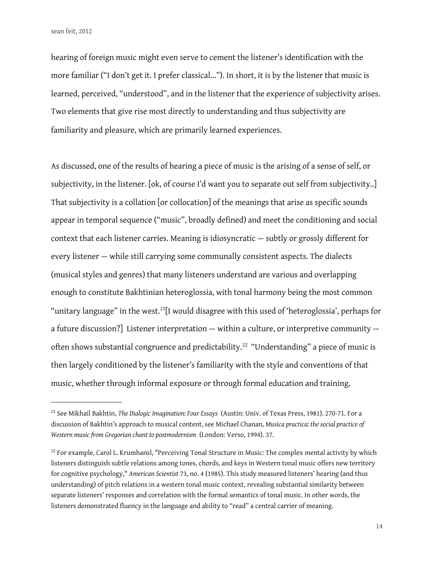hearing of foreign music might even serve to cement the listener's identifcation with the more familiar ("I don't get it. I prefer classical..."). In short, it is by the listener that music is learned, perceived, "understood", and in the listener that the experience of subjectivity arises. Two elements that give rise most directly to understanding and thus subjectivity are familiarity and pleasure, which are primarily learned experiences.

As discussed, one of the results of hearing a piece of music is the arising of a sense of self, or subjectivity, in the listener. [ok, of course I'd want you to separate out self from subjectivity..] That subjectivity is a collation [or collocation] of the meanings that arise as specific sounds appear in temporal sequence ("music", broadly defined) and meet the conditioning and social context that each listener carries. Meaning is idiosyncratic — subtly or grossly diferent for every listener — while still carrying some communally consistent aspects. The dialects (musical styles and genres) that many listeners understand are various and overlapping enough to constitute Bakhtinian heteroglossia, with tonal harmony being the most common "unitary language" in the west.<sup>[21](#page-13-0)</sup>[I would disagree with this used of 'heteroglossia', perhaps for a future discussion?] Listener interpretation — within a culture, or interpretive community — often shows substantial congruence and predictability.<sup>[22](#page-13-1)</sup> "Understanding" a piece of music is then largely conditioned by the listener's familiarity with the style and conventions of that music, whether through informal exposure or through formal education and training.

<span id="page-13-0"></span><sup>21</sup> See Mikhail Bakhtin, *The Dialogic Imagination: Four Essays* (Austin: Univ. of Texas Press, 1981). 270-71. For a discussion of Bakhtin's approach to musical content, see Michael Chanan, *Musica practica: the social practice of Western music from Gregorian chant to postmodernism* (London: Verso, 1994). 37.

<span id="page-13-1"></span><sup>&</sup>lt;sup>22</sup> For example, Carol L. Krumhansl, "Perceiving Tonal Structure in Music: The complex mental activity by which listeners distinguish subtle relations among tones, chords, and keys in Western tonal music ofers new territory for cognitive psychology," *American Scientist* 73, no. 4 (1985). This study measured listeners' hearing (and thus understanding) of pitch relations in a western tonal music context, revealing substantial similarity between separate listeners' responses and correlation with the formal semantics of tonal music. In other words, the listeners demonstrated fuency in the language and ability to "read" a central carrier of meaning.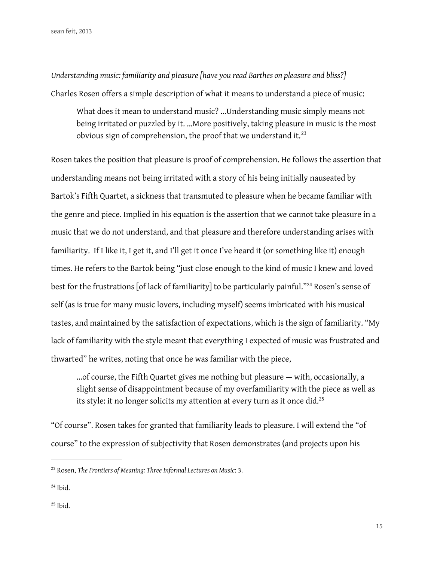*Understanding music: familiarity and pleasure [have you read Barthes on pleasure and bliss?]* Charles Rosen offers a simple description of what it means to understand a piece of music:

What does it mean to understand music? ...Understanding music simply means not being irritated or puzzled by it. ...More positively, taking pleasure in music is the most obvious sign of comprehension, the proof that we understand it. $^{23}$  $^{23}$  $^{23}$ 

Rosen takes the position that pleasure is proof of comprehension. He follows the assertion that understanding means not being irritated with a story of his being initially nauseated by Bartok's Fifth Quartet, a sickness that transmuted to pleasure when he became familiar with the genre and piece. Implied in his equation is the assertion that we cannot take pleasure in a music that we do not understand, and that pleasure and therefore understanding arises with familiarity. If I like it, I get it, and I'll get it once I've heard it (or something like it) enough times. He refers to the Bartok being "just close enough to the kind of music I knew and loved best for the frustrations [of lack of familiarity] to be particularly painful."<sup>[24](#page-14-1)</sup> Rosen's sense of self (as is true for many music lovers, including myself) seems imbricated with his musical tastes, and maintained by the satisfaction of expectations, which is the sign of familiarity. "My lack of familiarity with the style meant that everything I expected of music was frustrated and thwarted" he writes, noting that once he was familiar with the piece,

...of course, the Fifth Quartet gives me nothing but pleasure — with, occasionally, a slight sense of disappointment because of my overfamiliarity with the piece as well as its style: it no longer solicits my attention at every turn as it once did.<sup>[25](#page-14-2)</sup>

"Of course". Rosen takes for granted that familiarity leads to pleasure. I will extend the "of course" to the expression of subjectivity that Rosen demonstrates (and projects upon his

<span id="page-14-1"></span> $24$  Ibid.

<span id="page-14-0"></span><sup>23</sup> Rosen, *The Frontiers of Meaning: Three Informal Lectures on Music*: 3.

<span id="page-14-2"></span> $25$  Ibid.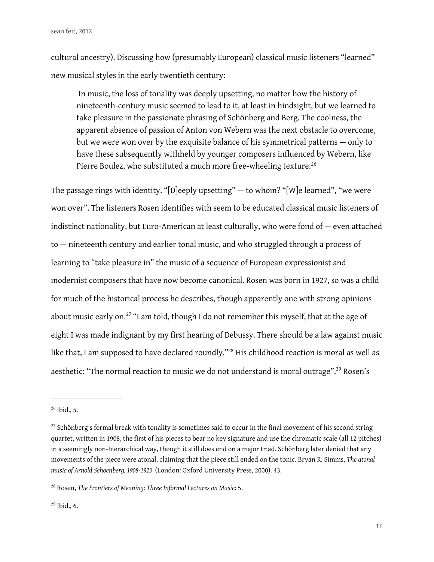cultural ancestry). Discussing how (presumably European) classical music listeners "learned" new musical styles in the early twentieth century:

 In music, the loss of tonality was deeply upsetting, no matter how the history of nineteenth-century music seemed to lead to it, at least in hindsight, but we learned to take pleasure in the passionate phrasing of Schönberg and Berg. The coolness, the apparent absence of passion of Anton von Webern was the next obstacle to overcome, but we were won over by the exquisite balance of his symmetrical patterns — only to have these subsequently withheld by younger composers infuenced by Webern, like Pierre Boulez, who substituted a much more free-wheeling texture.<sup>[26](#page-15-0)</sup>

The passage rings with identity. "[D]eeply upsetting" — to whom? "[W]e learned", "we were won over". The listeners Rosen identifes with seem to be educated classical music listeners of indistinct nationality, but Euro-American at least culturally, who were fond of — even attached to — nineteenth century and earlier tonal music, and who struggled through a process of learning to "take pleasure in" the music of a sequence of European expressionist and modernist composers that have now become canonical. Rosen was born in 1927, so was a child for much of the historical process he describes, though apparently one with strong opinions about music early on.<sup>[27](#page-15-1)</sup> "I am told, though I do not remember this myself, that at the age of eight I was made indignant by my first hearing of Debussy. There should be a law against music like that, I am supposed to have declared roundly.["28](#page-15-2) His childhood reaction is moral as well as aesthetic: "The normal reaction to music we do not understand is moral outrage".<sup>29</sup> Rosen's

<span id="page-15-0"></span><sup>26</sup> Ibid., 5.

<span id="page-15-1"></span><sup>&</sup>lt;sup>27</sup> Schönberg's formal break with tonality is sometimes said to occur in the final movement of his second string quartet, written in 1908, the frst of his pieces to bear no key signature and use the chromatic scale (all 12 pitches) in a seemingly non-hierarchical way, though it still does end on a major triad. Schönberg later denied that any movements of the piece were atonal, claiming that the piece still ended on the tonic. Bryan R. Simms, *The atonal music of Arnold Schoenberg, 1908-1923* (London: Oxford University Press, 2000). 43.

<span id="page-15-2"></span><sup>28</sup> Rosen, *The Frontiers of Meaning: Three Informal Lectures on Music*: 5.

<span id="page-15-3"></span><sup>29</sup> Ibid., 6.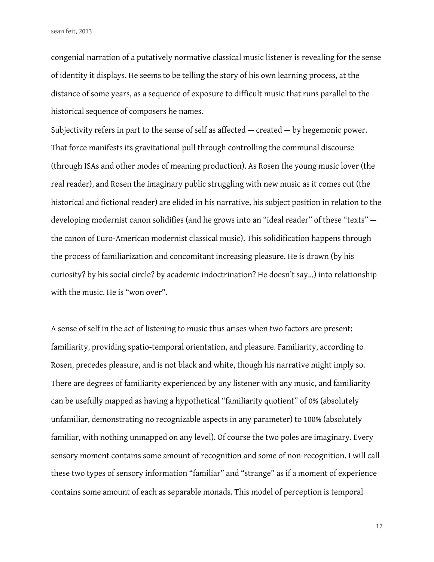congenial narration of a putatively normative classical music listener is revealing for the sense of identity it displays. He seems to be telling the story of his own learning process, at the distance of some years, as a sequence of exposure to difficult music that runs parallel to the historical sequence of composers he names.

Subjectivity refers in part to the sense of self as affected  $-$  created  $-$  by hegemonic power. That force manifests its gravitational pull through controlling the communal discourse (through ISAs and other modes of meaning production). As Rosen the young music lover (the real reader), and Rosen the imaginary public struggling with new music as it comes out (the historical and fictional reader) are elided in his narrative, his subject position in relation to the developing modernist canon solidifies (and he grows into an "ideal reader" of these "texts" the canon of Euro-American modernist classical music). This solidification happens through the process of familiarization and concomitant increasing pleasure. He is drawn (by his curiosity? by his social circle? by academic indoctrination? He doesn't say…) into relationship with the music. He is "won over".

A sense of self in the act of listening to music thus arises when two factors are present: familiarity, providing spatio-temporal orientation, and pleasure. Familiarity, according to Rosen, precedes pleasure, and is not black and white, though his narrative might imply so. There are degrees of familiarity experienced by any listener with any music, and familiarity can be usefully mapped as having a hypothetical "familiarity quotient" of 0% (absolutely unfamiliar, demonstrating no recognizable aspects in any parameter) to 100% (absolutely familiar, with nothing unmapped on any level). Of course the two poles are imaginary. Every sensory moment contains some amount of recognition and some of non-recognition. I will call these two types of sensory information "familiar" and "strange" as if a moment of experience contains some amount of each as separable monads. This model of perception is temporal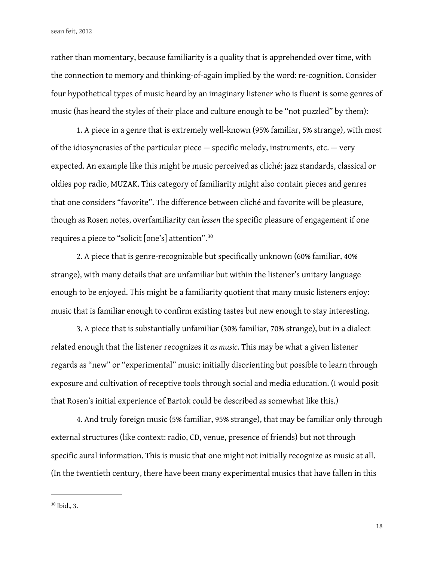rather than momentary, because familiarity is a quality that is apprehended over time, with the connection to memory and thinking-of-again implied by the word: re-cognition. Consider four hypothetical types of music heard by an imaginary listener who is fuent is some genres of music (has heard the styles of their place and culture enough to be "not puzzled" by them):

1. A piece in a genre that is extremely well-known (95% familiar, 5% strange), with most of the idiosyncrasies of the particular piece  $-$  specific melody, instruments, etc.  $-$  very expected. An example like this might be music perceived as cliché: jazz standards, classical or oldies pop radio, MUZAK. This category of familiarity might also contain pieces and genres that one considers "favorite". The diference between cliché and favorite will be pleasure, though as Rosen notes, overfamiliarity can *lessen* the specific pleasure of engagement if one requires a piece to "solicit [one's] attention".[30](#page-17-0)

2. A piece that is genre-recognizable but specifcally unknown (60% familiar, 40% strange), with many details that are unfamiliar but within the listener's unitary language enough to be enjoyed. This might be a familiarity quotient that many music listeners enjoy: music that is familiar enough to confrm existing tastes but new enough to stay interesting.

3. A piece that is substantially unfamiliar (30% familiar, 70% strange), but in a dialect related enough that the listener recognizes it *as music*. This may be what a given listener regards as "new" or "experimental" music: initially disorienting but possible to learn through exposure and cultivation of receptive tools through social and media education. (I would posit that Rosen's initial experience of Bartok could be described as somewhat like this.)

4. And truly foreign music (5% familiar, 95% strange), that may be familiar only through external structures (like context: radio, CD, venue, presence of friends) but not through specific aural information. This is music that one might not initially recognize as music at all. (In the twentieth century, there have been many experimental musics that have fallen in this

<span id="page-17-0"></span><sup>30</sup> Ibid., 3.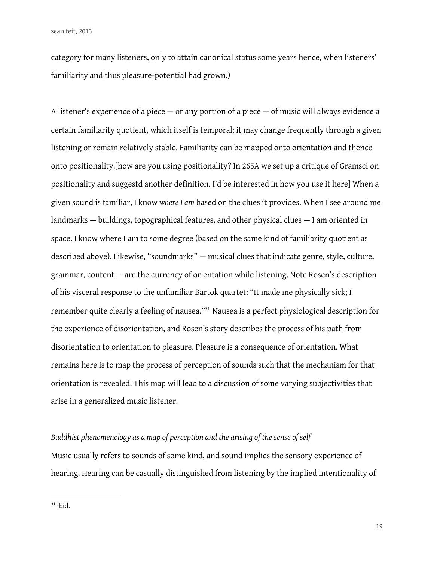category for many listeners, only to attain canonical status some years hence, when listeners' familiarity and thus pleasure-potential had grown.)

A listener's experience of a piece — or any portion of a piece — of music will always evidence a certain familiarity quotient, which itself is temporal: it may change frequently through a given listening or remain relatively stable. Familiarity can be mapped onto orientation and thence onto positionality.[how are you using positionality? In 265A we set up a critique of Gramsci on positionality and suggestd another definition. I'd be interested in how you use it here] When a given sound is familiar, I know *where I am* based on the clues it provides. When I see around me landmarks — buildings, topographical features, and other physical clues — I am oriented in space. I know where I am to some degree (based on the same kind of familiarity quotient as described above). Likewise, "soundmarks" — musical clues that indicate genre, style, culture, grammar, content — are the currency of orientation while listening. Note Rosen's description of his visceral response to the unfamiliar Bartok quartet: "It made me physically sick; I remember quite clearly a feeling of nausea.["31](#page-18-0) Nausea is a perfect physiological description for the experience of disorientation, and Rosen's story describes the process of his path from disorientation to orientation to pleasure. Pleasure is a consequence of orientation. What remains here is to map the process of perception of sounds such that the mechanism for that orientation is revealed. This map will lead to a discussion of some varying subjectivities that arise in a generalized music listener.

# *Buddhist phenomenology as a map of perception and the arising of the sense of self*

Music usually refers to sounds of some kind, and sound implies the sensory experience of hearing. Hearing can be casually distinguished from listening by the implied intentionality of

<span id="page-18-0"></span> $31$  Ibid.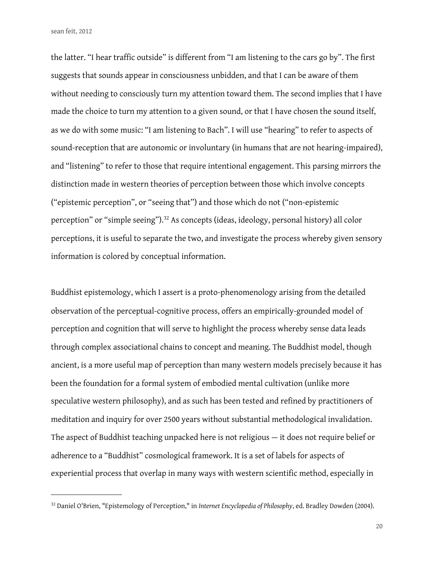the latter. "I hear traffic outside" is different from "I am listening to the cars go by". The first suggests that sounds appear in consciousness unbidden, and that I can be aware of them without needing to consciously turn my attention toward them. The second implies that I have made the choice to turn my attention to a given sound, or that I have chosen the sound itself, as we do with some music: "I am listening to Bach". I will use "hearing" to refer to aspects of sound-reception that are autonomic or involuntary (in humans that are not hearing-impaired), and "listening" to refer to those that require intentional engagement. This parsing mirrors the distinction made in western theories of perception between those which involve concepts ("epistemic perception", or "seeing that") and those which do not ("non-epistemic perception" or "simple seeing").<sup>[32](#page-19-0)</sup> As concepts (ideas, ideology, personal history) all color perceptions, it is useful to separate the two, and investigate the process whereby given sensory information is colored by conceptual information.

Buddhist epistemology, which I assert is a proto-phenomenology arising from the detailed observation of the perceptual-cognitive process, offers an empirically-grounded model of perception and cognition that will serve to highlight the process whereby sense data leads through complex associational chains to concept and meaning. The Buddhist model, though ancient, is a more useful map of perception than many western models precisely because it has been the foundation for a formal system of embodied mental cultivation (unlike more speculative western philosophy), and as such has been tested and refined by practitioners of meditation and inquiry for over 2500 years without substantial methodological invalidation. The aspect of Buddhist teaching unpacked here is not religious — it does not require belief or adherence to a "Buddhist" cosmological framework. It is a set of labels for aspects of experiential process that overlap in many ways with western scientific method, especially in

<span id="page-19-0"></span><sup>32</sup> Daniel O'Brien, "Epistemology of Perception," in *Internet Encyclopedia of Philosophy*, ed. Bradley Dowden (2004).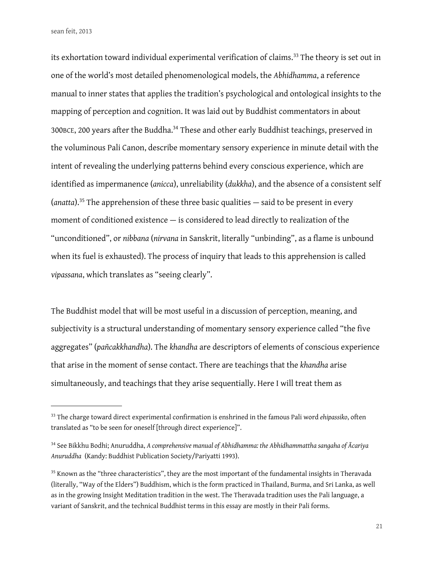its exhortation toward individual experimental verification of claims.<sup>[33](#page-20-0)</sup> The theory is set out in one of the world's most detailed phenomenological models, the *Abhidhamma*, a reference manual to inner states that applies the tradition's psychological and ontological insights to the mapping of perception and cognition. It was laid out by Buddhist commentators in about 300BCE, 200 years after the Buddha[.34](#page-20-1) These and other early Buddhist teachings, preserved in the voluminous Pali Canon, describe momentary sensory experience in minute detail with the intent of revealing the underlying patterns behind every conscious experience, which are identifed as impermanence (*anicca*), unreliability (*dukkha*), and the absence of a consistent self (*anatta*).[35](#page-20-2) The apprehension of these three basic qualities — said to be present in every moment of conditioned existence — is considered to lead directly to realization of the "unconditioned", or *nibbana* (*nirvana* in Sanskrit, literally "unbinding", as a flame is unbound when its fuel is exhausted). The process of inquiry that leads to this apprehension is called *vipassana*, which translates as "seeing clearly".

The Buddhist model that will be most useful in a discussion of perception, meaning, and subjectivity is a structural understanding of momentary sensory experience called "the five aggregates" (*pañcakkhandha*). The *khandha* are descriptors of elements of conscious experience that arise in the moment of sense contact. There are teachings that the *khandha* arise simultaneously, and teachings that they arise sequentially. Here I will treat them as

<span id="page-20-0"></span><sup>33</sup> The charge toward direct experimental confrmation is enshrined in the famous Pali word *ehipassiko*, often translated as "to be seen for oneself [through direct experience]".

<span id="page-20-1"></span><sup>34</sup> See Bikkhu Bodhi; Anuruddha, *A comprehensive manual of Abhidhamma: the Abhidhammattha sangaha of Ācariya Anuruddha* (Kandy: Buddhist Publication Society/Pariyatti 1993).

<span id="page-20-2"></span><sup>&</sup>lt;sup>35</sup> Known as the "three characteristics", they are the most important of the fundamental insights in Theravada (literally, "Way of the Elders") Buddhism, which is the form practiced in Thailand, Burma, and Sri Lanka, as well as in the growing Insight Meditation tradition in the west. The Theravada tradition uses the Pali language, a variant of Sanskrit, and the technical Buddhist terms in this essay are mostly in their Pali forms.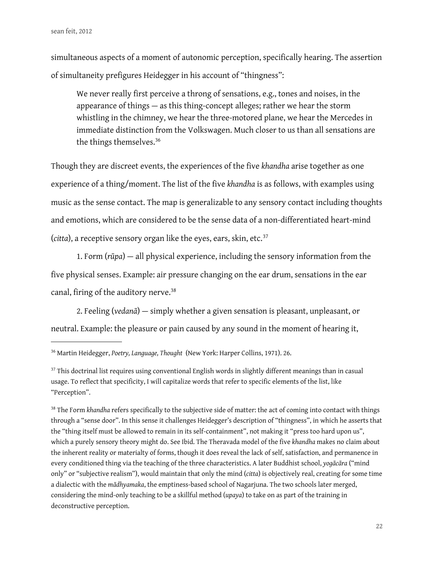simultaneous aspects of a moment of autonomic perception, specifically hearing. The assertion of simultaneity prefgures Heidegger in his account of "thingness":

We never really first perceive a throng of sensations, e.g., tones and noises, in the appearance of things — as this thing-concept alleges; rather we hear the storm whistling in the chimney, we hear the three-motored plane, we hear the Mercedes in immediate distinction from the Volkswagen. Much closer to us than all sensations are the things themselves.<sup>[36](#page-21-0)</sup>

Though they are discreet events, the experiences of the five *khandha* arise together as one experience of a thing/moment. The list of the five *khandha* is as follows, with examples using music as the sense contact. The map is generalizable to any sensory contact including thoughts and emotions, which are considered to be the sense data of a non-diferentiated heart-mind (*citta*), a receptive sensory organ like the eyes, ears, skin, etc.<sup>[37](#page-21-1)</sup>

1. Form (*rūpa*) — all physical experience, including the sensory information from the five physical senses. Example: air pressure changing on the ear drum, sensations in the ear canal, firing of the auditory nerve.<sup>[38](#page-21-2)</sup>

2. Feeling (*vedanā*) — simply whether a given sensation is pleasant, unpleasant, or neutral. Example: the pleasure or pain caused by any sound in the moment of hearing it,

<span id="page-21-0"></span><sup>36</sup> Martin Heidegger, *Poetry, Language, Thought* (New York: Harper Collins, 1971). 26.

<span id="page-21-1"></span><sup>&</sup>lt;sup>37</sup> This doctrinal list requires using conventional English words in slightly different meanings than in casual usage. To reflect that specificity, I will capitalize words that refer to specific elements of the list, like "Perception".

<span id="page-21-2"></span><sup>&</sup>lt;sup>38</sup> The Form *khandha* refers specifically to the subjective side of matter: the act of coming into contact with things through a "sense door". In this sense it challenges Heidegger's description of "thingness", in which he asserts that the "thing itself must be allowed to remain in its self-containment", not making it "press too hard upon us", which a purely sensory theory might do. See Ibid. The Theravada model of the fve *khandha* makes no claim about the inherent reality or materialty of forms, though it does reveal the lack of self, satisfaction, and permanence in every conditioned thing via the teaching of the three characteristics. A later Buddhist school, *yogācāra* ("mind only" or "subjective realism"), would maintain that only the mind (*citta*) is objectively real, creating for some time a dialectic with the *mādhyamaka*, the emptiness-based school of Nagarjuna. The two schools later merged, considering the mind-only teaching to be a skillful method (*upaya*) to take on as part of the training in deconstructive perception.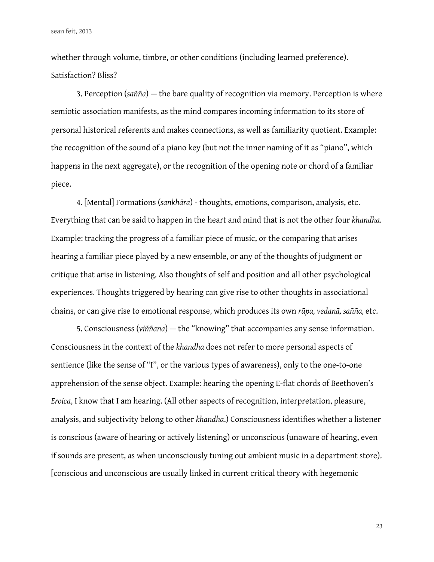whether through volume, timbre, or other conditions (including learned preference). Satisfaction? Bliss?

3. Perception (*sañña*) — the bare quality of recognition via memory. Perception is where semiotic association manifests, as the mind compares incoming information to its store of personal historical referents and makes connections, as well as familiarity quotient. Example: the recognition of the sound of a piano key (but not the inner naming of it as "piano", which happens in the next aggregate), or the recognition of the opening note or chord of a familiar piece.

4. [Mental] Formations (*sankhāra*) - thoughts, emotions, comparison, analysis, etc. Everything that can be said to happen in the heart and mind that is not the other four *khandha*. Example: tracking the progress of a familiar piece of music, or the comparing that arises hearing a familiar piece played by a new ensemble, or any of the thoughts of judgment or critique that arise in listening. Also thoughts of self and position and all other psychological experiences. Thoughts triggered by hearing can give rise to other thoughts in associational chains, or can give rise to emotional response, which produces its own *rūpa, vedanā, sañña,* etc.

5. Consciousness (*viññana*) — the "knowing" that accompanies any sense information. Consciousness in the context of the *khandha* does not refer to more personal aspects of sentience (like the sense of "I", or the various types of awareness), only to the one-to-one apprehension of the sense object. Example: hearing the opening E-fat chords of Beethoven's *Eroica*, I know that I am hearing. (All other aspects of recognition, interpretation, pleasure, analysis, and subjectivity belong to other *khandha*.) Consciousness identifes whether a listener is conscious (aware of hearing or actively listening) or unconscious (unaware of hearing, even if sounds are present, as when unconsciously tuning out ambient music in a department store). [conscious and unconscious are usually linked in current critical theory with hegemonic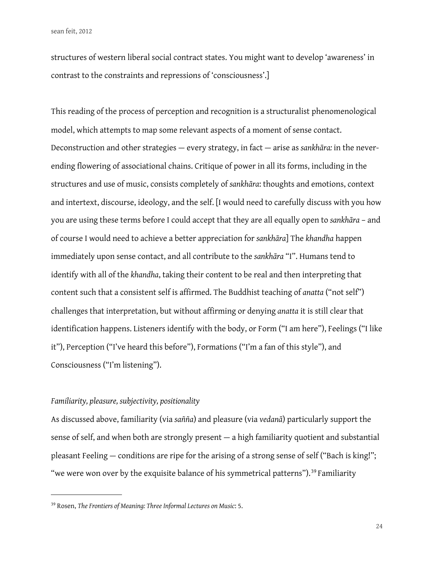structures of western liberal social contract states. You might want to develop 'awareness' in contrast to the constraints and repressions of 'consciousness'.]

This reading of the process of perception and recognition is a structuralist phenomenological model, which attempts to map some relevant aspects of a moment of sense contact. Deconstruction and other strategies — every strategy, in fact — arise as *sankhāra:* in the neverending flowering of associational chains. Critique of power in all its forms, including in the structures and use of music, consists completely of *sankhāra*: thoughts and emotions, context and intertext, discourse, ideology, and the self. [I would need to carefully discuss with you how you are using these terms before I could accept that they are all equally open to *sankhāra* – and of course I would need to achieve a better appreciation for *sankhāra*] The *khandha* happen immediately upon sense contact, and all contribute to the *sankhāra* "I". Humans tend to identify with all of the *khandha*, taking their content to be real and then interpreting that content such that a consistent self is affirmed. The Buddhist teaching of *anatta* ("not self") challenges that interpretation, but without afrming or denying *anatta* it is still clear that identifcation happens. Listeners identify with the body, or Form ("I am here"), Feelings ("I like it"), Perception ("I've heard this before"), Formations ("I'm a fan of this style"), and Consciousness ("I'm listening").

# *Familiarity, pleasure, subjectivity, positionality*

As discussed above, familiarity (via *sañña*) and pleasure (via *vedanā*) particularly support the sense of self, and when both are strongly present — a high familiarity quotient and substantial pleasant Feeling — conditions are ripe for the arising of a strong sense of self ("Bach is king!"; "we were won over by the exquisite balance of his symmetrical patterns").<sup>39</sup> Familiarity

<span id="page-23-0"></span><sup>39</sup> Rosen, *The Frontiers of Meaning: Three Informal Lectures on Music*: 5.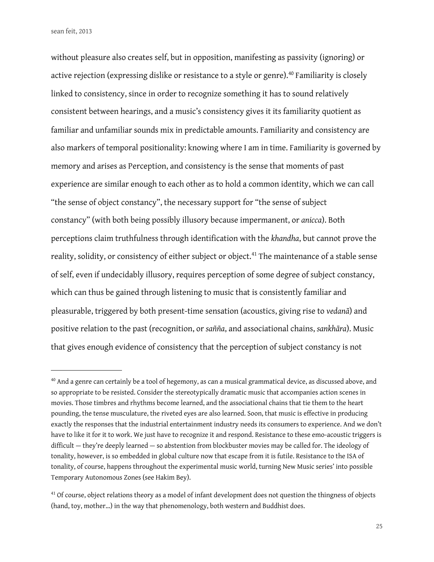without pleasure also creates self, but in opposition, manifesting as passivity (ignoring) or active rejection (expressing dislike or resistance to a style or genre).<sup>[40](#page-24-0)</sup> Familiarity is closely linked to consistency, since in order to recognize something it has to sound relatively consistent between hearings, and a music's consistency gives it its familiarity quotient as familiar and unfamiliar sounds mix in predictable amounts. Familiarity and consistency are also markers of temporal positionality: knowing where I am in time. Familiarity is governed by memory and arises as Perception, and consistency is the sense that moments of past experience are similar enough to each other as to hold a common identity, which we can call "the sense of object constancy", the necessary support for "the sense of subject constancy" (with both being possibly illusory because impermanent, or *anicca*). Both perceptions claim truthfulness through identifcation with the *khandha*, but cannot prove the reality, solidity, or consistency of either subject or object.<sup>[41](#page-24-1)</sup> The maintenance of a stable sense of self, even if undecidably illusory, requires perception of some degree of subject constancy, which can thus be gained through listening to music that is consistently familiar and pleasurable, triggered by both present-time sensation (acoustics, giving rise to *vedanā*) and positive relation to the past (recognition, or *sañña*, and associational chains, *sankhāra*). Music that gives enough evidence of consistency that the perception of subject constancy is not

<span id="page-24-0"></span><sup>&</sup>lt;sup>40</sup> And a genre can certainly be a tool of hegemony, as can a musical grammatical device, as discussed above, and so appropriate to be resisted. Consider the stereotypically dramatic music that accompanies action scenes in movies. Those timbres and rhythms become learned, and the associational chains that tie them to the heart pounding, the tense musculature, the riveted eyes are also learned. Soon, that music is efective in producing exactly the responses that the industrial entertainment industry needs its consumers to experience. And we don't have to like it for it to work. We just have to recognize it and respond. Resistance to these emo-acoustic triggers is difficult — they're deeply learned — so abstention from blockbuster movies may be called for. The ideology of tonality, however, is so embedded in global culture now that escape from it is futile. Resistance to the ISA of tonality, of course, happens throughout the experimental music world, turning New Music series' into possible Temporary Autonomous Zones (see Hakim Bey).

<span id="page-24-1"></span><sup>&</sup>lt;sup>41</sup> Of course, object relations theory as a model of infant development does not question the thingness of objects (hand, toy, mother…) in the way that phenomenology, both western and Buddhist does.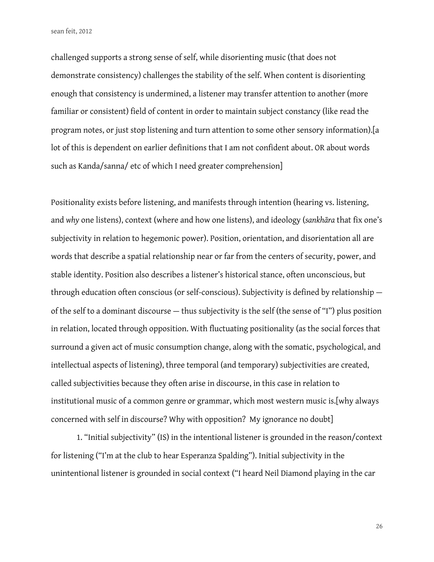challenged supports a strong sense of self, while disorienting music (that does not demonstrate consistency) challenges the stability of the self. When content is disorienting enough that consistency is undermined, a listener may transfer attention to another (more familiar or consistent) field of content in order to maintain subject constancy (like read the program notes, or just stop listening and turn attention to some other sensory information).[a lot of this is dependent on earlier definitions that I am not confident about. OR about words such as Kanda/sanna/ etc of which I need greater comprehension]

Positionality exists before listening, and manifests through intention (hearing vs. listening, and why one listens), context (where and how one listens), and ideology (sankhara that fix one's subjectivity in relation to hegemonic power). Position, orientation, and disorientation all are words that describe a spatial relationship near or far from the centers of security, power, and stable identity. Position also describes a listener's historical stance, often unconscious, but through education often conscious (or self-conscious). Subjectivity is defned by relationship of the self to a dominant discourse — thus subjectivity is the self (the sense of "I") plus position in relation, located through opposition. With fuctuating positionality (as the social forces that surround a given act of music consumption change, along with the somatic, psychological, and intellectual aspects of listening), three temporal (and temporary) subjectivities are created, called subjectivities because they often arise in discourse, in this case in relation to institutional music of a common genre or grammar, which most western music is.[why always concerned with self in discourse? Why with opposition? My ignorance no doubt]

1. "Initial subjectivity" (IS) in the intentional listener is grounded in the reason/context for listening ("I'm at the club to hear Esperanza Spalding"). Initial subjectivity in the unintentional listener is grounded in social context ("I heard Neil Diamond playing in the car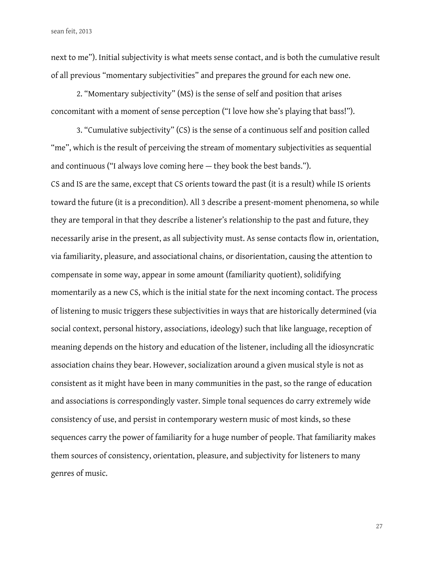next to me"). Initial subjectivity is what meets sense contact, and is both the cumulative result of all previous "momentary subjectivities" and prepares the ground for each new one.

2. "Momentary subjectivity" (MS) is the sense of self and position that arises concomitant with a moment of sense perception ("I love how she's playing that bass!").

3. "Cumulative subjectivity" (CS) is the sense of a continuous self and position called "me", which is the result of perceiving the stream of momentary subjectivities as sequential and continuous ("I always love coming here — they book the best bands."). CS and IS are the same, except that CS orients toward the past (it is a result) while IS orients toward the future (it is a precondition). All 3 describe a present-moment phenomena, so while they are temporal in that they describe a listener's relationship to the past and future, they necessarily arise in the present, as all subjectivity must. As sense contacts flow in, orientation, via familiarity, pleasure, and associational chains, or disorientation, causing the attention to compensate in some way, appear in some amount (familiarity quotient), solidifying momentarily as a new CS, which is the initial state for the next incoming contact. The process of listening to music triggers these subjectivities in ways that are historically determined (via social context, personal history, associations, ideology) such that like language, reception of meaning depends on the history and education of the listener, including all the idiosyncratic association chains they bear. However, socialization around a given musical style is not as consistent as it might have been in many communities in the past, so the range of education and associations is correspondingly vaster. Simple tonal sequences do carry extremely wide consistency of use, and persist in contemporary western music of most kinds, so these sequences carry the power of familiarity for a huge number of people. That familiarity makes them sources of consistency, orientation, pleasure, and subjectivity for listeners to many genres of music.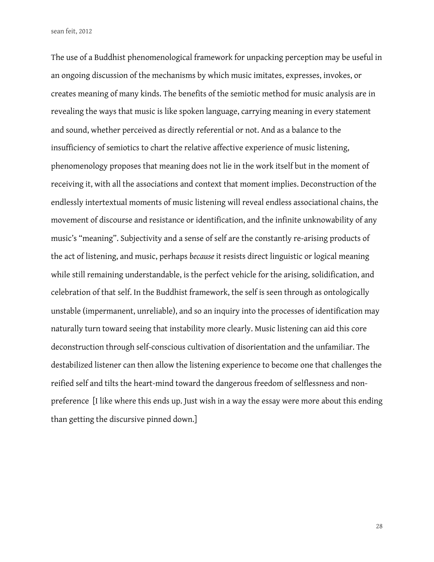The use of a Buddhist phenomenological framework for unpacking perception may be useful in an ongoing discussion of the mechanisms by which music imitates, expresses, invokes, or creates meaning of many kinds. The benefts of the semiotic method for music analysis are in revealing the ways that music is like spoken language, carrying meaning in every statement and sound, whether perceived as directly referential or not. And as a balance to the insufficiency of semiotics to chart the relative affective experience of music listening, phenomenology proposes that meaning does not lie in the work itself but in the moment of receiving it, with all the associations and context that moment implies. Deconstruction of the endlessly intertextual moments of music listening will reveal endless associational chains, the movement of discourse and resistance or identification, and the infinite unknowability of any music's "meaning". Subjectivity and a sense of self are the constantly re-arising products of the act of listening, and music, perhaps *because* it resists direct linguistic or logical meaning while still remaining understandable, is the perfect vehicle for the arising, solidification, and celebration of that self. In the Buddhist framework, the self is seen through as ontologically unstable (impermanent, unreliable), and so an inquiry into the processes of identifcation may naturally turn toward seeing that instability more clearly. Music listening can aid this core deconstruction through self-conscious cultivation of disorientation and the unfamiliar. The destabilized listener can then allow the listening experience to become one that challenges the reifed self and tilts the heart-mind toward the dangerous freedom of selfessness and nonpreference [I like where this ends up. Just wish in a way the essay were more about this ending than getting the discursive pinned down.]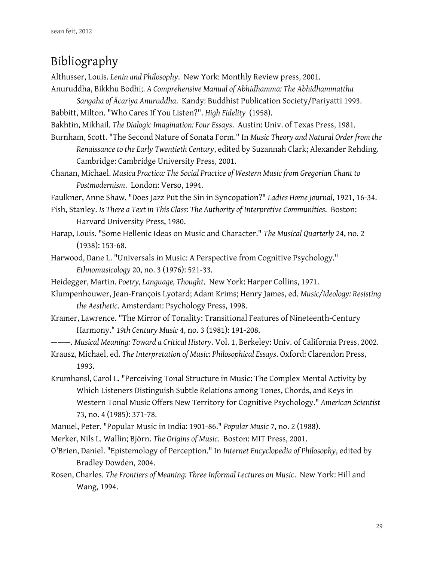# Bibliography

Althusser, Louis. *Lenin and Philosophy*. New York: Monthly Review press, 2001.

Anuruddha, Bikkhu Bodhi;. *A Comprehensive Manual of Abhidhamma: The Abhidhammattha* 

*Sangaha of Ācariya Anuruddha*. Kandy: Buddhist Publication Society/Pariyatti 1993. Babbitt, Milton. "Who Cares If You Listen?". *High Fidelity* (1958).

Bakhtin, Mikhail. *The Dialogic Imagination: Four Essays*. Austin: Univ. of Texas Press, 1981.

Burnham, Scott. "The Second Nature of Sonata Form." In *Music Theory and Natural Order from the Renaissance to the Early Twentieth Century*, edited by Suzannah Clark; Alexander Rehding. Cambridge: Cambridge University Press, 2001.

Chanan, Michael. *Musica Practica: The Social Practice of Western Music from Gregorian Chant to Postmodernism*. London: Verso, 1994.

Faulkner, Anne Shaw. "Does Jazz Put the Sin in Syncopation?" *Ladies Home Journal*, 1921, 16-34.

- Fish, Stanley. *Is There a Text in This Class: The Authority of Interpretive Communities*. Boston: Harvard University Press, 1980.
- Harap, Louis. "Some Hellenic Ideas on Music and Character." *The Musical Quarterly* 24, no. 2 (1938): 153-68.
- Harwood, Dane L. "Universals in Music: A Perspective from Cognitive Psychology." *Ethnomusicology* 20, no. 3 (1976): 521-33.
- Heidegger, Martin. *Poetry, Language, Thought*. New York: Harper Collins, 1971.
- Klumpenhouwer, Jean-François Lyotard; Adam Krims; Henry James, ed. *Music/Ideology: Resisting the Aesthetic*. Amsterdam: Psychology Press, 1998.
- Kramer, Lawrence. "The Mirror of Tonality: Transitional Features of Nineteenth-Century Harmony." *19th Century Music* 4, no. 3 (1981): 191-208.
- ———. *Musical Meaning: Toward a Critical History*. Vol. 1, Berkeley: Univ. of California Press, 2002.
- Krausz, Michael, ed. *The Interpretation of Music: Philosophical Essays*. Oxford: Clarendon Press, 1993.

Krumhansl, Carol L. "Perceiving Tonal Structure in Music: The Complex Mental Activity by Which Listeners Distinguish Subtle Relations among Tones, Chords, and Keys in Western Tonal Music Offers New Territory for Cognitive Psychology." American Scientist 73, no. 4 (1985): 371-78.

- Manuel, Peter. "Popular Music in India: 1901-86." *Popular Music* 7, no. 2 (1988).
- Merker, Nils L. Wallin; Björn. *The Origins of Music*. Boston: MIT Press, 2001.
- O'Brien, Daniel. "Epistemology of Perception." In *Internet Encyclopedia of Philosophy*, edited by Bradley Dowden, 2004.
- Rosen, Charles. *The Frontiers of Meaning: Three Informal Lectures on Music*. New York: Hill and Wang, 1994.